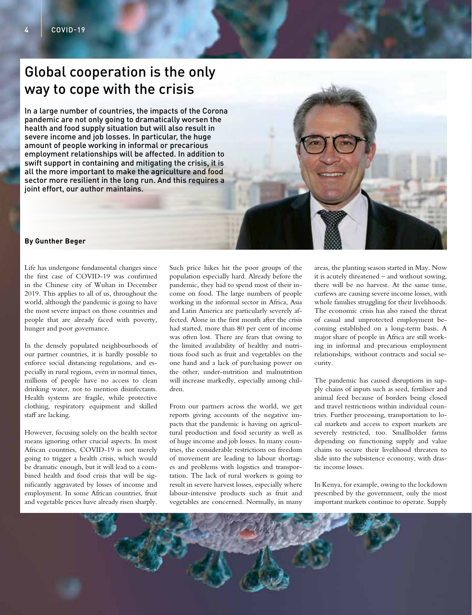## Global cooperation is the only way to cope with the crisis

In a large number of countries, the impacts of the Corona pandemic are not only going to dramatically worsen the health and food supply situation but will also result in severe income and job losses. In particular, the huge amount of people working in informal or precarious employment relationships will be affected. In addition to swift support in containing and mitigating the crisis, it is all the more important to make the agriculture and food sector more resilient in the long run. And this requires a joint effort, our author maintains.

## **By Gunther Beger**

Life has undergone fundamental changes since the first case of COVID-19 was confirmed in the Chinese city of Wuhan in December 2019. This applies to all of us, throughout the world, although the pandemic is going to have the most severe impact on those countries and people that are already faced with poverty, hunger and poor governance.

In the densely populated neighbourhoods of our partner countries, it is hardly possible to enforce social distancing regulations, and especially in rural regions, even in normal times, millions of people have no access to clean drinking water, not to mention disinfectants. Health systems are fragile, while protective clothing, respiratory equipment and skilled staff are lacking.

However, focusing solely on the health sector means ignoring other crucial aspects. In most African countries, COVID-19 is not merely going to trigger a health crisis, which would be dramatic enough, but it will lead to a combined health and food crisis that will be significantly aggravated by losses of income and employment. In some African countries, fruit and vegetable prices have already risen sharply.

Such price hikes hit the poor groups of the population especially hard. Already before the pandemic, they had to spend most of their income on food. The large numbers of people working in the informal sector in Africa, Asia and Latin America are particularly severely affected. Alone in the first month after the crisis had started, more than 80 per cent of income was often lost. There are fears that owing to the limited availability of healthy and nutritious food such as fruit and vegetables on the one hand and a lack of purchasing power on the other, under-nutrition and malnutrition will increase markedly, especially among children.

From our partners across the world, we get reports giving accounts of the negative impacts that the pandemic is having on agricultural production and food security as well as of huge income and job losses. In many countries, the considerable restrictions on freedom of movement are leading to labour shortages and problems with logistics and transportation. The lack of rural workers is going to result in severe harvest losses, especially where labour-intensive products such as fruit and vegetables are concerned. Normally, in many

areas, the planting season started in May. Now it is acutely threatened – and without sowing, there will be no harvest. At the same time, curfews are causing severe income losses, with whole families struggling for their livelihoods. The economic crisis has also raised the threat of casual and unprotected employment becoming established on a long-term basis. A major share of people in Africa are still working in informal and precarious employment relationships, without contracts and social security.

The pandemic has caused disruptions in supply chains of inputs such as seed, fertiliser and animal feed because of borders being closed and travel restrictions within individual countries. Further processing, transportation to local markets and access to export markets are severely restricted, too. Smallholder farms depending on functioning supply and value chains to secure their livelihood threaten to slide into the subsistence economy, with drastic income losses.

In Kenya, for example, owing to the lockdown prescribed by the government, only the most important markets continue to operate. Supply